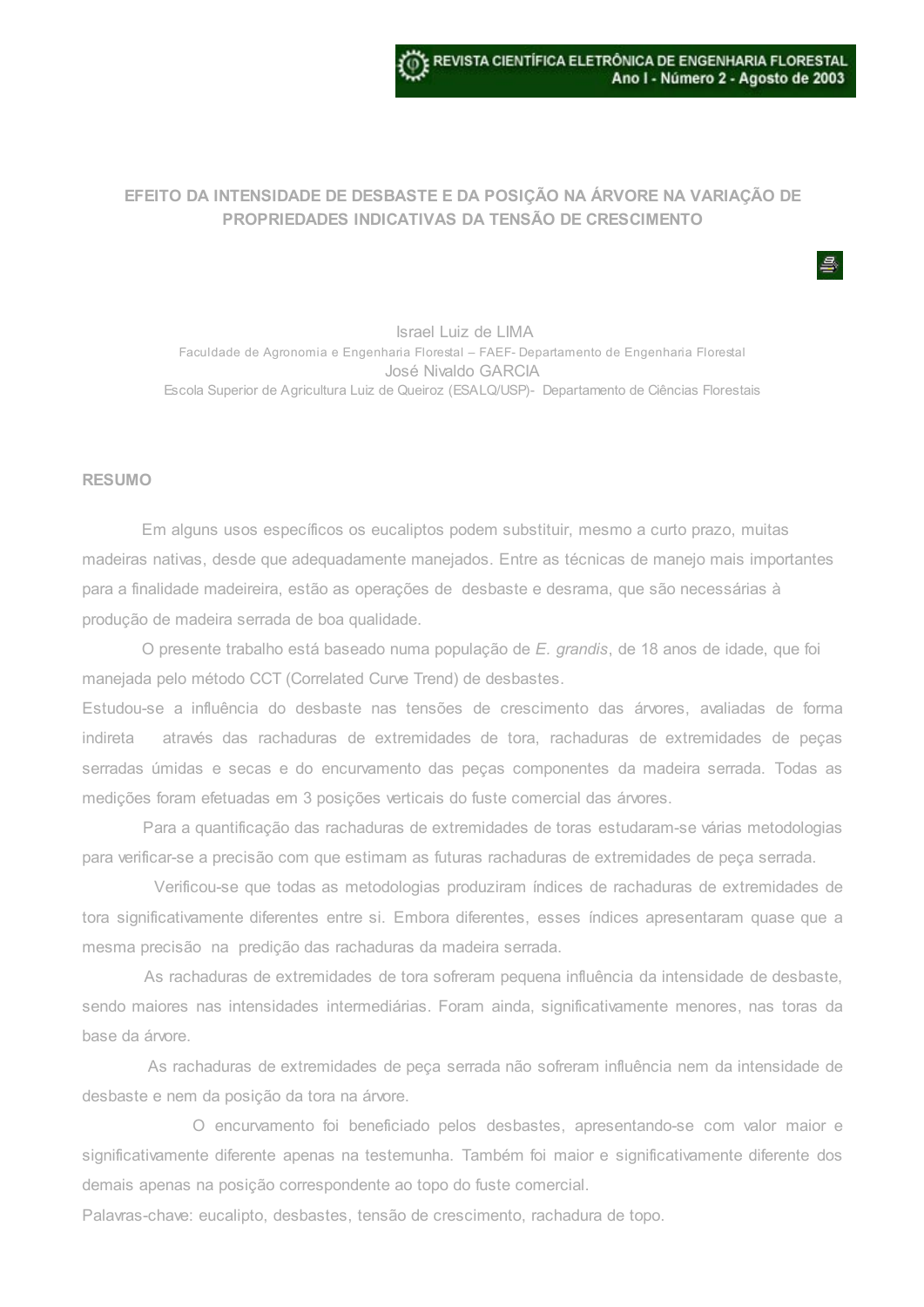## EFEITO DA INTENSIDADE DE DESBASTE E DA POSIÇÃO NA ÁRVORE NA VARIAÇÃO DE PROPRIEDADES INDICATIVAS DA TENSÃO DE CRESCIMENTO

Israel Luiz de LIMA Faculdade de Agronomia e Engenharia Florestal – FAEF- Departamento de Engenharia Florestal José Nivaldo GARCIA Escola Superior de Agricultura Luiz de Queiroz (ESALQ/USP)- Departamento de Ciências Florestais

## RESUMO

Em alguns usos específicos os eucaliptos podem substituir, mesmo a curto prazo, muitas madeiras nativas, desde que adequadamente manejados. Entre as técnicas de manejo mais importantes para a finalidade madeireira, estão as operações de desbaste e desrama, que são necessárias à produção de madeira serrada de boa qualidade.

O presente trabalho está baseado numa população de E. grandis, de 18 anos de idade, que foi manejada pelo método CCT (Correlated Curve Trend) de desbastes.

Estudou-se a influência do desbaste nas tensões de crescimento das árvores, avaliadas de forma indireta através das rachaduras de extremidades de tora, rachaduras de extremidades de peças serradas úmidas e secas e do encurvamento das peças componentes da madeira serrada. Todas as medições foram efetuadas em 3 posições verticais do fuste comercial das árvores.

Para a quantificação das rachaduras de extremidades de toras estudaram-se várias metodologias para verificar-se a precisão com que estimam as futuras rachaduras de extremidades de peça serrada.

Verificou-se que todas as metodologias produziram índices de rachaduras de extremidades de tora significativamente diferentes entre si. Embora diferentes, esses índices apresentaram quase que a mesma precisão na predição das rachaduras da madeira serrada.

As rachaduras de extremidades de tora sofreram pequena influência da intensidade de desbaste, sendo maiores nas intensidades intermediárias. Foram ainda, significativamente menores, nas toras da base da árvore.

As rachaduras de extremidades de peça serrada não sofreram influência nem da intensidade de desbaste e nem da posição da tora na árvore.

O encurvamento foi beneficiado pelos desbastes, apresentando-se com valor maior e significativamente diferente apenas na testemunha. Também foi maior e significativamente diferente dos demais apenas na posição correspondente ao topo do fuste comercial.

Palavras-chave: eucalipto, desbastes, tensão de crescimento, rachadura de topo.